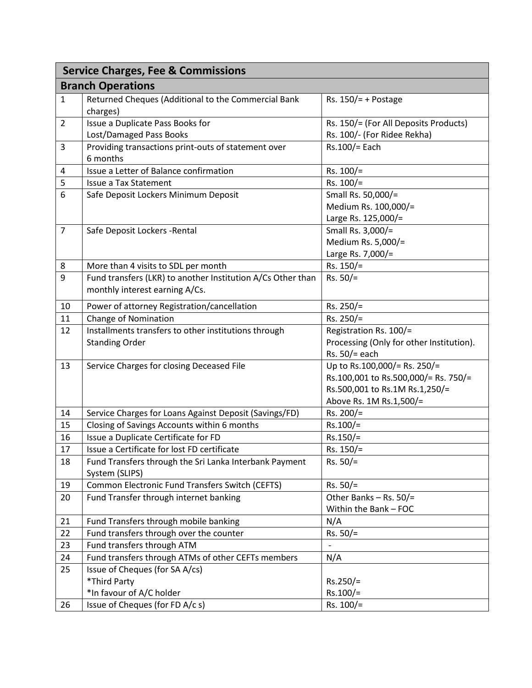| <b>Service Charges, Fee &amp; Commissions</b> |                                                                 |                                          |  |  |
|-----------------------------------------------|-----------------------------------------------------------------|------------------------------------------|--|--|
| <b>Branch Operations</b>                      |                                                                 |                                          |  |  |
| $\mathbf{1}$                                  | Returned Cheques (Additional to the Commercial Bank<br>charges) | Rs. $150/ = +$ Postage                   |  |  |
| $\overline{2}$                                | Issue a Duplicate Pass Books for                                | Rs. 150/= (For All Deposits Products)    |  |  |
|                                               | Lost/Damaged Pass Books                                         | Rs. 100/- (For Ridee Rekha)              |  |  |
| 3                                             | Providing transactions print-outs of statement over             | Rs.100/= Each                            |  |  |
|                                               | 6 months                                                        |                                          |  |  |
| 4                                             | Issue a Letter of Balance confirmation                          | Rs. 100/=                                |  |  |
| 5                                             | <b>Issue a Tax Statement</b>                                    | $Rs. 100/=$                              |  |  |
| 6                                             | Safe Deposit Lockers Minimum Deposit                            | Small Rs. 50,000/=                       |  |  |
|                                               |                                                                 | Medium Rs. 100,000/=                     |  |  |
|                                               |                                                                 | Large Rs. 125,000/=                      |  |  |
| $\overline{7}$                                | Safe Deposit Lockers - Rental                                   | Small Rs. 3,000/=                        |  |  |
|                                               |                                                                 | Medium Rs. 5,000/=                       |  |  |
|                                               |                                                                 | Large Rs. 7,000/=                        |  |  |
| 8                                             | More than 4 visits to SDL per month                             | Rs. 150/=                                |  |  |
| 9                                             | Fund transfers (LKR) to another Institution A/Cs Other than     | $Rs. 50/=$                               |  |  |
|                                               | monthly interest earning A/Cs.                                  |                                          |  |  |
| 10                                            | Power of attorney Registration/cancellation                     | Rs. 250/=                                |  |  |
| 11                                            | Change of Nomination                                            | Rs. 250/=                                |  |  |
| 12                                            | Installments transfers to other institutions through            | Registration Rs. 100/=                   |  |  |
|                                               | <b>Standing Order</b>                                           | Processing (Only for other Institution). |  |  |
|                                               |                                                                 | Rs. 50/= each                            |  |  |
| 13                                            | Service Charges for closing Deceased File                       | Up to Rs.100,000/= Rs. 250/=             |  |  |
|                                               |                                                                 | Rs.100,001 to Rs.500,000/= Rs. 750/=     |  |  |
|                                               |                                                                 | Rs.500,001 to Rs.1M Rs.1,250/=           |  |  |
|                                               |                                                                 | Above Rs. 1M Rs.1,500/=                  |  |  |
| 14                                            | Service Charges for Loans Against Deposit (Savings/FD)          | $Rs. 200/=$                              |  |  |
| 15                                            | Closing of Savings Accounts within 6 months                     | $Rs.100/=$                               |  |  |
| 16                                            | Issue a Duplicate Certificate for FD                            | $Rs.150/=$                               |  |  |
| 17                                            | Issue a Certificate for lost FD certificate                     | $Rs. 150/=$                              |  |  |
| 18                                            | Fund Transfers through the Sri Lanka Interbank Payment          | $Rs. 50/=$                               |  |  |
|                                               | System (SLIPS)                                                  |                                          |  |  |
| 19                                            | Common Electronic Fund Transfers Switch (CEFTS)                 | $Rs. 50/=$                               |  |  |
| 20                                            | Fund Transfer through internet banking                          | Other Banks - Rs. 50/=                   |  |  |
|                                               |                                                                 | Within the Bank - FOC                    |  |  |
| 21                                            | Fund Transfers through mobile banking                           | N/A                                      |  |  |
| 22                                            | Fund transfers through over the counter                         | $Rs. 50/=$                               |  |  |
| 23                                            | Fund transfers through ATM                                      |                                          |  |  |
| 24                                            | Fund transfers through ATMs of other CEFTs members              | N/A                                      |  |  |
| 25                                            | Issue of Cheques (for SA A/cs)                                  |                                          |  |  |
|                                               | *Third Party                                                    | $Rs.250/=$                               |  |  |
|                                               | *In favour of A/C holder                                        | Rs.100/=                                 |  |  |
| 26                                            | Issue of Cheques (for FD A/c s)                                 | $Rs. 100/=$                              |  |  |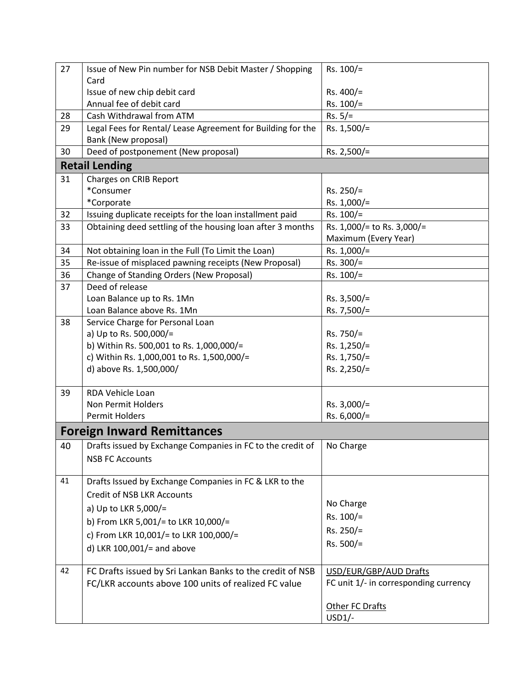| 27 | Issue of New Pin number for NSB Debit Master / Shopping     | $Rs. 100/=$                           |
|----|-------------------------------------------------------------|---------------------------------------|
|    | Card                                                        |                                       |
|    | Issue of new chip debit card                                | Rs. $400/$ =                          |
|    | Annual fee of debit card                                    | $Rs. 100/=$                           |
| 28 | Cash Withdrawal from ATM                                    | $Rs. 5/=$                             |
| 29 | Legal Fees for Rental/ Lease Agreement for Building for the | Rs. 1,500/=                           |
|    | Bank (New proposal)                                         |                                       |
| 30 | Deed of postponement (New proposal)                         | Rs. $2,500/$ =                        |
|    | <b>Retail Lending</b>                                       |                                       |
| 31 | <b>Charges on CRIB Report</b>                               |                                       |
|    | *Consumer                                                   | $Rs. 250/=$                           |
|    | *Corporate                                                  | Rs. $1,000/$ =                        |
| 32 | Issuing duplicate receipts for the loan installment paid    | $Rs. 100/=$                           |
| 33 | Obtaining deed settling of the housing loan after 3 months  | Rs. 1,000/= to Rs. 3,000/=            |
|    |                                                             | Maximum (Every Year)                  |
| 34 | Not obtaining loan in the Full (To Limit the Loan)          | Rs. $1,000/$ =                        |
| 35 | Re-issue of misplaced pawning receipts (New Proposal)       | Rs. 300/=                             |
| 36 | Change of Standing Orders (New Proposal)                    | $Rs. 100/=$                           |
| 37 | Deed of release                                             |                                       |
|    | Loan Balance up to Rs. 1Mn                                  | Rs. $3,500/$ =                        |
|    | Loan Balance above Rs. 1Mn                                  | Rs. 7,500/=                           |
| 38 | Service Charge for Personal Loan                            |                                       |
|    | a) Up to Rs. 500,000/=                                      | Rs. 750/=                             |
|    | b) Within Rs. 500,001 to Rs. 1,000,000/=                    | Rs. 1,250/=                           |
|    | c) Within Rs. 1,000,001 to Rs. 1,500,000/=                  | Rs. 1,750/=                           |
|    | d) above Rs. 1,500,000/                                     | Rs. 2,250/=                           |
| 39 | RDA Vehicle Loan                                            |                                       |
|    | Non Permit Holders                                          | Rs. $3,000/=$                         |
|    | <b>Permit Holders</b>                                       | Rs. $6,000/$ =                        |
|    | <b>Foreign Inward Remittances</b>                           |                                       |
| 40 | Drafts issued by Exchange Companies in FC to the credit of  | No Charge                             |
|    | <b>NSB FC Accounts</b>                                      |                                       |
| 41 | Drafts Issued by Exchange Companies in FC & LKR to the      |                                       |
|    | <b>Credit of NSB LKR Accounts</b>                           |                                       |
|    | a) Up to LKR 5,000/=                                        | No Charge                             |
|    | b) From LKR 5,001/= to LKR 10,000/=                         | Rs. 100/=                             |
|    |                                                             | $Rs. 250/=$                           |
|    | c) From LKR 10,001/= to LKR 100,000/=                       | Rs. 500/=                             |
|    | d) LKR $100,001/$ = and above                               |                                       |
| 42 | FC Drafts issued by Sri Lankan Banks to the credit of NSB   | USD/EUR/GBP/AUD Drafts                |
|    | FC/LKR accounts above 100 units of realized FC value        | FC unit 1/- in corresponding currency |
|    |                                                             |                                       |
|    |                                                             | Other FC Drafts                       |
|    |                                                             | $USD1/-$                              |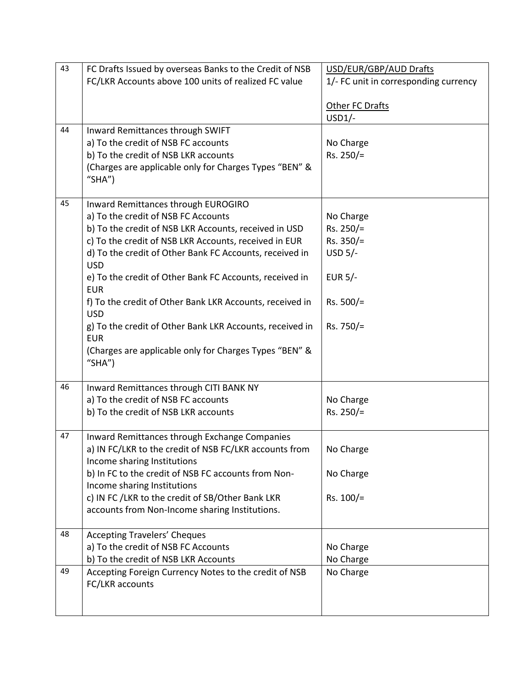| 43 | FC Drafts Issued by overseas Banks to the Credit of NSB  | USD/EUR/GBP/AUD Drafts                |
|----|----------------------------------------------------------|---------------------------------------|
|    | FC/LKR Accounts above 100 units of realized FC value     | 1/- FC unit in corresponding currency |
|    |                                                          |                                       |
|    |                                                          | Other FC Drafts                       |
|    |                                                          | $USD1/-$                              |
| 44 | Inward Remittances through SWIFT                         |                                       |
|    | a) To the credit of NSB FC accounts                      | No Charge                             |
|    | b) To the credit of NSB LKR accounts                     | Rs. 250/=                             |
|    | (Charges are applicable only for Charges Types "BEN" &   |                                       |
|    | "SHA")                                                   |                                       |
|    |                                                          |                                       |
| 45 |                                                          |                                       |
|    | Inward Remittances through EUROGIRO                      |                                       |
|    | a) To the credit of NSB FC Accounts                      | No Charge                             |
|    | b) To the credit of NSB LKR Accounts, received in USD    | $Rs. 250/=$                           |
|    | c) To the credit of NSB LKR Accounts, received in EUR    | $Rs. 350/=$                           |
|    | d) To the credit of Other Bank FC Accounts, received in  | USD $5/-$                             |
|    | <b>USD</b>                                               |                                       |
|    | e) To the credit of Other Bank FC Accounts, received in  | EUR $5/-$                             |
|    | <b>EUR</b>                                               |                                       |
|    | f) To the credit of Other Bank LKR Accounts, received in | $Rs. 500/=$                           |
|    | <b>USD</b>                                               |                                       |
|    | g) To the credit of Other Bank LKR Accounts, received in | Rs. 750/=                             |
|    | <b>EUR</b>                                               |                                       |
|    | (Charges are applicable only for Charges Types "BEN" &   |                                       |
|    | "SHA")                                                   |                                       |
|    |                                                          |                                       |
| 46 | Inward Remittances through CITI BANK NY                  |                                       |
|    | a) To the credit of NSB FC accounts                      | No Charge                             |
|    | b) To the credit of NSB LKR accounts                     | $Rs. 250/=$                           |
|    |                                                          |                                       |
| 47 | Inward Remittances through Exchange Companies            |                                       |
|    | a) IN FC/LKR to the credit of NSB FC/LKR accounts from   | No Charge                             |
|    | Income sharing Institutions                              |                                       |
|    | b) In FC to the credit of NSB FC accounts from Non-      | No Charge                             |
|    | Income sharing Institutions                              |                                       |
|    | c) IN FC / LKR to the credit of SB/Other Bank LKR        | Rs. 100/=                             |
|    | accounts from Non-Income sharing Institutions.           |                                       |
|    |                                                          |                                       |
| 48 | <b>Accepting Travelers' Cheques</b>                      |                                       |
|    | a) To the credit of NSB FC Accounts                      | No Charge                             |
|    |                                                          |                                       |
|    | b) To the credit of NSB LKR Accounts                     | No Charge                             |
| 49 | Accepting Foreign Currency Notes to the credit of NSB    | No Charge                             |
|    | FC/LKR accounts                                          |                                       |
|    |                                                          |                                       |
|    |                                                          |                                       |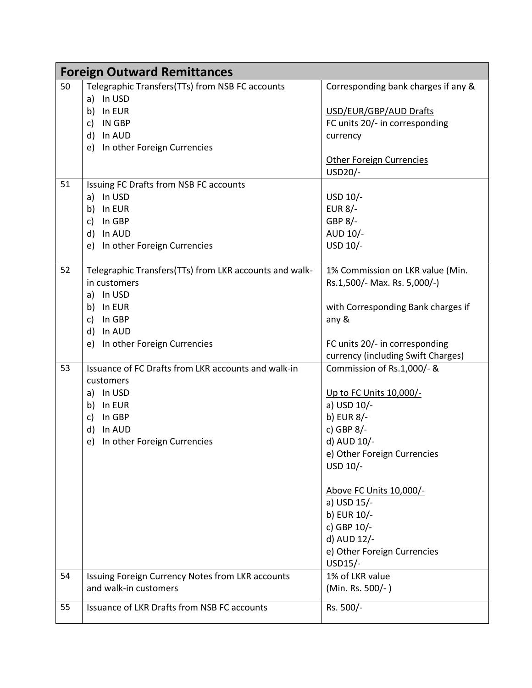| <b>Foreign Outward Remittances</b> |                                                                           |                                     |
|------------------------------------|---------------------------------------------------------------------------|-------------------------------------|
| 50                                 | Telegraphic Transfers(TTs) from NSB FC accounts                           | Corresponding bank charges if any & |
|                                    | In USD<br>a)                                                              |                                     |
|                                    | In EUR<br>b)                                                              | USD/EUR/GBP/AUD Drafts              |
|                                    | $\mathsf{C}$<br>IN GBP                                                    | FC units 20/- in corresponding      |
|                                    | d)<br>In AUD                                                              | currency                            |
|                                    | In other Foreign Currencies<br>e)                                         |                                     |
|                                    |                                                                           | <b>Other Foreign Currencies</b>     |
|                                    |                                                                           | USD20/-                             |
| 51                                 | Issuing FC Drafts from NSB FC accounts                                    |                                     |
|                                    | In USD<br>a)                                                              | USD 10/-                            |
|                                    | b)<br>In EUR                                                              | <b>EUR 8/-</b>                      |
|                                    | In GBP<br>c)                                                              | GBP 8/-                             |
|                                    | In AUD<br>d)                                                              | AUD 10/-                            |
|                                    | In other Foreign Currencies<br>e)                                         | USD 10/-                            |
|                                    |                                                                           |                                     |
| 52                                 | Telegraphic Transfers(TTs) from LKR accounts and walk-                    | 1% Commission on LKR value (Min.    |
|                                    | in customers                                                              | Rs.1,500/- Max. Rs. 5,000/-)        |
|                                    | In USD<br>a)                                                              |                                     |
|                                    | b) In EUR                                                                 | with Corresponding Bank charges if  |
|                                    | $\mathsf{C}$<br>In GBP                                                    | any &                               |
|                                    | d)<br>In AUD                                                              |                                     |
|                                    | In other Foreign Currencies<br>e)                                         | FC units 20/- in corresponding      |
|                                    |                                                                           | currency (including Swift Charges)  |
| 53                                 | Issuance of FC Drafts from LKR accounts and walk-in                       | Commission of Rs.1,000/- &          |
|                                    | customers                                                                 |                                     |
|                                    | In USD<br>a)                                                              | <u>Up to FC Units 10,000/-</u>      |
|                                    | In EUR<br>b)                                                              | a) USD 10/-                         |
|                                    | $\mathsf{C}$<br>In GBP                                                    | b) EUR 8/-                          |
|                                    | In AUD<br>d)                                                              | c) GBP 8/-                          |
|                                    | In other Foreign Currencies<br>e)                                         | d) AUD 10/-                         |
|                                    |                                                                           | e) Other Foreign Currencies         |
|                                    |                                                                           | USD 10/-                            |
|                                    |                                                                           |                                     |
|                                    |                                                                           | Above FC Units 10,000/-             |
|                                    |                                                                           | a) USD 15/-                         |
|                                    |                                                                           | b) EUR 10/-                         |
|                                    |                                                                           | c) GBP 10/-                         |
|                                    |                                                                           | d) AUD 12/-                         |
|                                    |                                                                           | e) Other Foreign Currencies         |
|                                    |                                                                           | USD15/-<br>1% of LKR value          |
| 54                                 | Issuing Foreign Currency Notes from LKR accounts<br>and walk-in customers |                                     |
|                                    |                                                                           | (Min. Rs. 500/-)                    |
| 55                                 | Issuance of LKR Drafts from NSB FC accounts                               | Rs. 500/-                           |